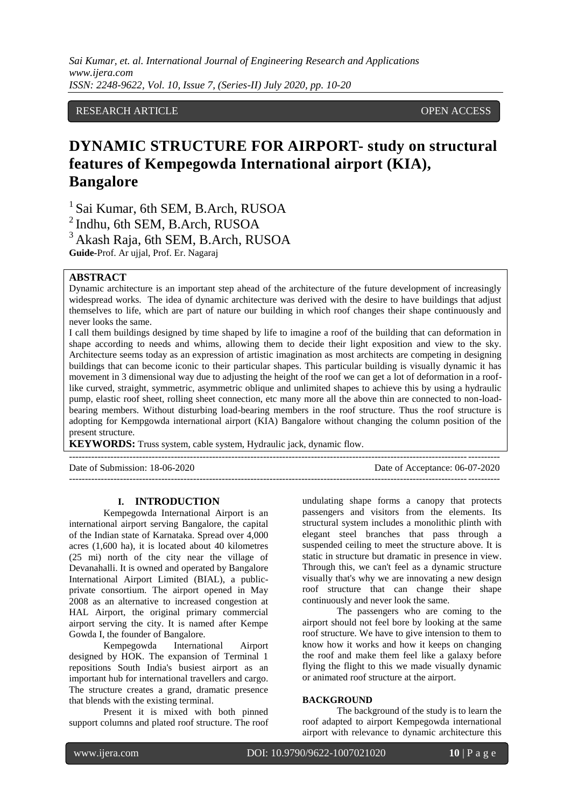# RESEARCH ARTICLE **CONTRACT OPEN ACCESS**

# **DYNAMIC STRUCTURE FOR AIRPORT- study on structural features of Kempegowda International airport (KIA), Bangalore**

 $<sup>1</sup>$  Sai Kumar, 6th SEM, B.Arch, RUSOA</sup> <sup>2</sup> Indhu, 6th SEM, B.Arch, RUSOA <sup>3</sup> Akash Raja, 6th SEM, B.Arch, RUSOA **Guide-**Prof. Ar ujjal, Prof. Er. Nagaraj

# **ABSTRACT**

Dynamic architecture is an important step ahead of the architecture of the future development of increasingly widespread works. The idea of dynamic architecture was derived with the desire to have buildings that adjust themselves to life, which are part of nature our building in which roof changes their shape continuously and never looks the same.

I call them buildings designed by time shaped by life to imagine a roof of the building that can deformation in shape according to needs and whims, allowing them to decide their light exposition and view to the sky. Architecture seems today as an expression of artistic imagination as most architects are competing in designing buildings that can become iconic to their particular shapes. This particular building is visually dynamic it has movement in 3 dimensional way due to adjusting the height of the roof we can get a lot of deformation in a rooflike curved, straight, symmetric, asymmetric oblique and unlimited shapes to achieve this by using a hydraulic pump, elastic roof sheet, rolling sheet connection, etc many more all the above thin are connected to non-loadbearing members. Without disturbing load-bearing members in the roof structure. Thus the roof structure is adopting for Kempgowda international airport (KIA) Bangalore without changing the column position of the present structure.

**KEYWORDS:** Truss system, cable system, Hydraulic jack, dynamic flow. ---------------------------------------------------------------------------------------------------------------------------------------

Date of Submission: 18-06-2020 Date of Acceptance: 06-07-2020  $-1.1$ 

# **I. INTRODUCTION**

Kempegowda International Airport is an international airport serving Bangalore, the capital of the Indian state of Karnataka. Spread over 4,000 acres (1,600 ha), it is located about 40 kilometres (25 mi) north of the city near the village of Devanahalli. It is owned and operated by Bangalore International Airport Limited (BIAL), a publicprivate consortium. The airport opened in May 2008 as an alternative to increased congestion at HAL Airport, the original primary commercial airport serving the city. It is named after Kempe Gowda I, the founder of Bangalore.

Kempegowda International Airport designed by HOK. The expansion of Terminal 1 repositions South India's busiest airport as an important hub for international travellers and cargo. The structure creates a grand, dramatic presence that blends with the existing terminal.

Present it is mixed with both pinned support columns and plated roof structure. The roof undulating shape forms a canopy that protects passengers and visitors from the elements. Its structural system includes a monolithic plinth with elegant steel branches that pass through a suspended ceiling to meet the structure above. It is static in structure but dramatic in presence in view. Through this, we can't feel as a dynamic structure visually that's why we are innovating a new design roof structure that can change their shape continuously and never look the same.

The passengers who are coming to the airport should not feel bore by looking at the same roof structure. We have to give intension to them to know how it works and how it keeps on changing the roof and make them feel like a galaxy before flying the flight to this we made visually dynamic or animated roof structure at the airport.

#### **BACKGROUND**

The background of the study is to learn the roof adapted to airport Kempegowda international airport with relevance to dynamic architecture this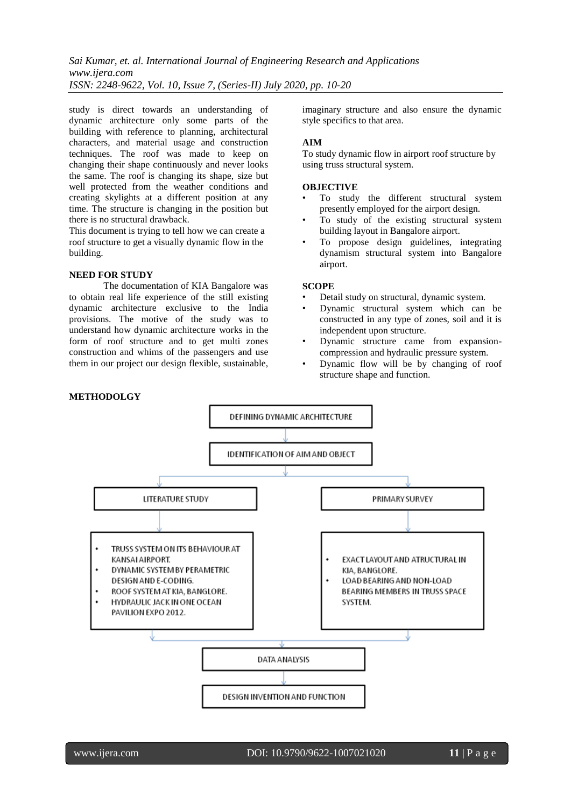study is direct towards an understanding of dynamic architecture only some parts of the building with reference to planning, architectural characters, and material usage and construction techniques. The roof was made to keep on changing their shape continuously and never looks the same. The roof is changing its shape, size but well protected from the weather conditions and creating skylights at a different position at any time. The structure is changing in the position but there is no structural drawback.

This document is trying to tell how we can create a roof structure to get a visually dynamic flow in the building.

#### **NEED FOR STUDY**

The documentation of KIA Bangalore was to obtain real life experience of the still existing dynamic architecture exclusive to the India provisions. The motive of the study was to understand how dynamic architecture works in the form of roof structure and to get multi zones construction and whims of the passengers and use them in our project our design flexible, sustainable, imaginary structure and also ensure the dynamic style specifics to that area.

#### **AIM**

To study dynamic flow in airport roof structure by using truss structural system.

#### **OBJECTIVE**

- To study the different structural system presently employed for the airport design.
- To study of the existing structural system building layout in Bangalore airport.
- To propose design guidelines, integrating dynamism structural system into Bangalore airport.

#### **SCOPE**

- Detail study on structural, dynamic system.
- Dynamic structural system which can be constructed in any type of zones, soil and it is independent upon structure.
- Dynamic structure came from expansioncompression and hydraulic pressure system.
- Dynamic flow will be by changing of roof structure shape and function.

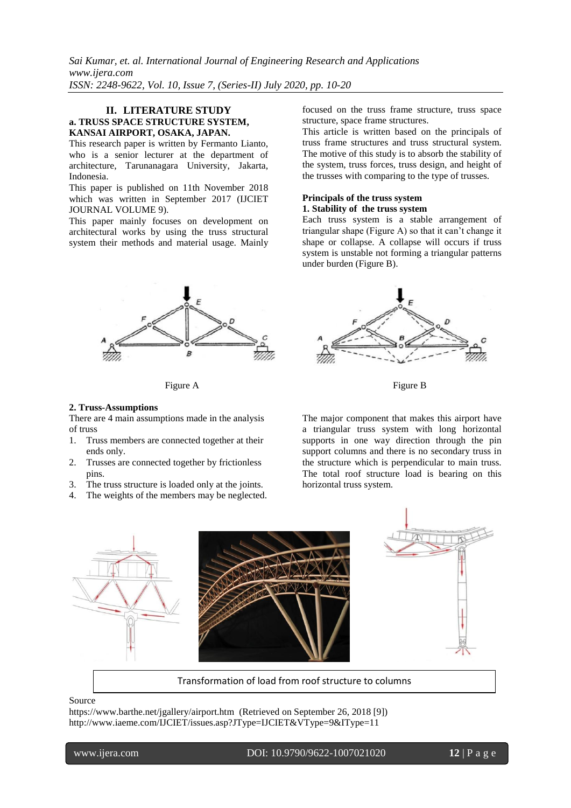# **II. LITERATURE STUDY a. TRUSS SPACE STRUCTURE SYSTEM, KANSAI AIRPORT, OSAKA, JAPAN.**

This research paper is written by Fermanto Lianto, who is a senior lecturer at the department of architecture, Tarunanagara University, Jakarta, Indonesia.

This paper is published on 11th November 2018 which was written in September 2017 (IJCIET JOURNAL VOLUME 9).

This paper mainly focuses on development on architectural works by using the truss structural system their methods and material usage. Mainly



#### **2. Truss-Assumptions**

There are 4 main assumptions made in the analysis of truss

- 1. Truss members are connected together at their ends only.
- 2. Trusses are connected together by frictionless pins.
- 3. The truss structure is loaded only at the joints.
- 4. The weights of the members may be neglected.

focused on the truss frame structure, truss space structure, space frame structures.

This article is written based on the principals of truss frame structures and truss structural system. The motive of this study is to absorb the stability of the system, truss forces, truss design, and height of the trusses with comparing to the type of trusses.

# **Principals of the truss system**

### **1. Stability of the truss system**

Each truss system is a stable arrangement of triangular shape (Figure A) so that it can't change it shape or collapse. A collapse will occurs if truss system is unstable not forming a triangular patterns under burden (Figure B).



Figure A Figure B

The major component that makes this airport have a triangular truss system with long horizontal supports in one way direction through the pin support columns and there is no secondary truss in the structure which is perpendicular to main truss. The total roof structure load is bearing on this horizontal truss system.



Transformation of load from roof structure to columns

#### Source

<https://www.barthe.net/jgallery/airport.htm>(Retrieved on September 26, 2018 [9]) <http://www.iaeme.com/IJCIET/issues.asp?JType=IJCIET&VType=9&IType=11>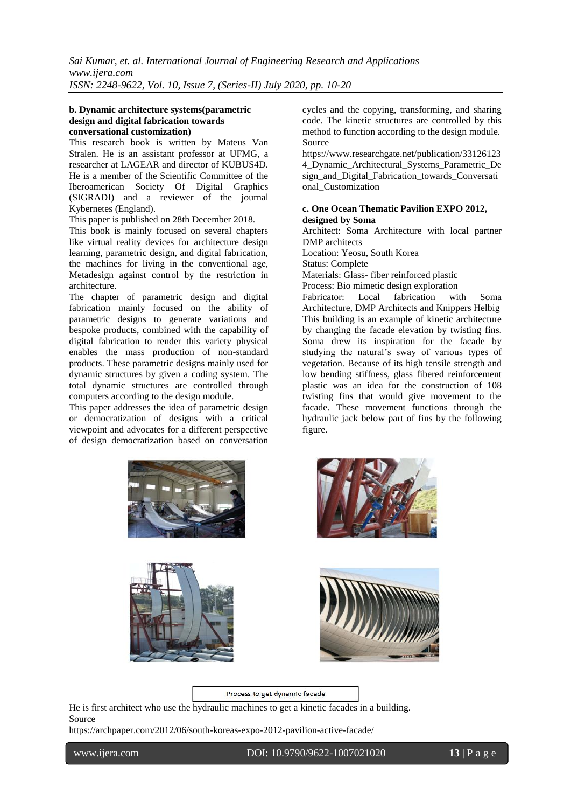#### **b. Dynamic architecture systems(parametric design and digital fabrication towards conversational customization)**

This research book is written by Mateus Van Stralen. He is an assistant professor at UFMG, a researcher at LAGEAR and director of KUBUS4D. He is a member of the Scientific Committee of the Iberoamerican Society Of Digital Graphics (SIGRADI) and a reviewer of the journal Kybernetes (England).

This paper is published on 28th December 2018.

This book is mainly focused on several chapters like virtual reality devices for architecture design learning, parametric design, and digital fabrication, the machines for living in the conventional age, Metadesign against control by the restriction in architecture.

The chapter of parametric design and digital fabrication mainly focused on the ability of parametric designs to generate variations and bespoke products, combined with the capability of digital fabrication to render this variety physical enables the mass production of non-standard products. These parametric designs mainly used for dynamic structures by given a coding system. The total dynamic structures are controlled through computers according to the design module.

This paper addresses the idea of parametric design or democratization of designs with a critical viewpoint and advocates for a different perspective of design democratization based on conversation

cycles and the copying, transforming, and sharing code. The kinetic structures are controlled by this method to function according to the design module. Source

[https://www.researchgate.net/publication/33126123](https://www.researchgate.net/publication/331261234_Dynamic_Architectural_Systems_Parametric_Design_and_Digital_Fabrication_towards_Conversational_Customization) [4\\_Dynamic\\_Architectural\\_Systems\\_Parametric\\_De](https://www.researchgate.net/publication/331261234_Dynamic_Architectural_Systems_Parametric_Design_and_Digital_Fabrication_towards_Conversational_Customization) [sign\\_and\\_Digital\\_Fabrication\\_towards\\_Conversati](https://www.researchgate.net/publication/331261234_Dynamic_Architectural_Systems_Parametric_Design_and_Digital_Fabrication_towards_Conversational_Customization) [onal\\_Customization](https://www.researchgate.net/publication/331261234_Dynamic_Architectural_Systems_Parametric_Design_and_Digital_Fabrication_towards_Conversational_Customization)

#### **c. One Ocean Thematic Pavilion EXPO 2012, designed by Soma**

Architect: Soma Architecture with local partner DMP architects

Location: Yeosu, South Korea

Status: Complete

Materials: Glass- fiber reinforced plastic

Process: Bio mimetic design exploration

Fabricator: Local fabrication with Soma Architecture, DMP Architects and Knippers Helbig This building is an example of kinetic architecture by changing the facade elevation by twisting fins. Soma drew its inspiration for the facade by studying the natural's sway of various types of vegetation. Because of its high tensile strength and low bending stiffness, glass fibered reinforcement plastic was an idea for the construction of 108 twisting fins that would give movement to the facade. These movement functions through the hydraulic jack below part of fins by the following figure.









Process to get dynamic facade

He is first architect who use the hydraulic machines to get a kinetic facades in a building.

<https://archpaper.com/2012/06/south-koreas-expo-2012-pavilion-active-facade/>

Source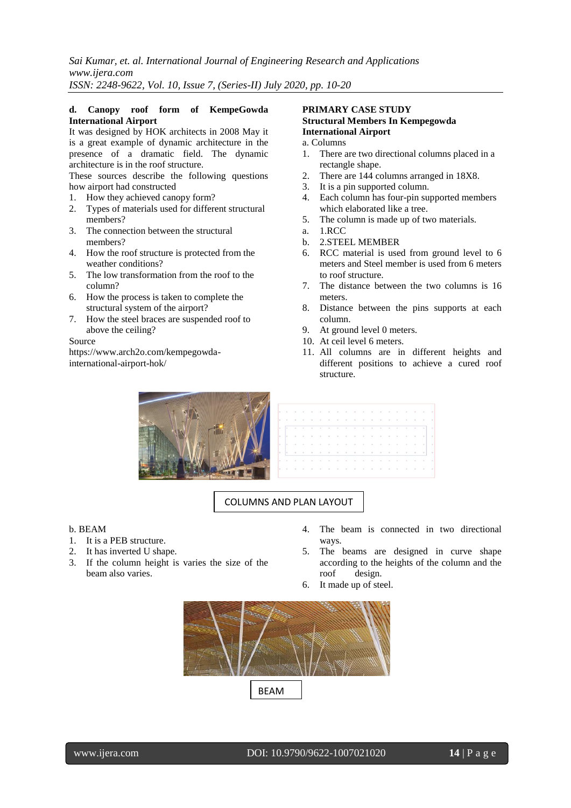#### **d. Canopy roof form of KempeGowda International Airport**

It was designed by HOK architects in 2008 May it is a great example of dynamic architecture in the presence of a dramatic field. The dynamic architecture is in the roof structure.

These sources describe the following questions how airport had constructed

- 1. How they achieved canopy form?
- 2. Types of materials used for different structural members?
- 3. The connection between the structural members?
- 4. How the roof structure is protected from the weather conditions?
- 5. The low transformation from the roof to the column?
- 6. How the process is taken to complete the structural system of the airport?
- 7. How the steel braces are suspended roof to above the ceiling?

Source

[https://www.arch2o.com/kempegowda](https://www.arch2o.com/kempegowda-international-airport-hok/)[international-airport-hok/](https://www.arch2o.com/kempegowda-international-airport-hok/)

### **PRIMARY CASE STUDY Structural Members In Kempegowda International Airport**

#### a. Columns

- 1. There are two directional columns placed in a rectangle shape.
- 2. There are 144 columns arranged in 18X8.
- 3. It is a pin supported column.
- 4. Each column has four-pin supported members which elaborated like a tree.
- 5. The column is made up of two materials.
- a. 1.RCC
- b. 2.STEEL MEMBER
- 6. RCC material is used from ground level to 6 meters and Steel member is used from 6 meters to roof structure.
- 7. The distance between the two columns is 16 meters.
- 8. Distance between the pins supports at each column.
- 9. At ground level 0 meters.
- 10. At ceil level 6 meters.
- 11. All columns are in different heights and different positions to achieve a cured roof structure.





# COLUMNS AND PLAN LAYOUT

#### b. BEAM

- 1. It is a PEB structure.
- 2. It has inverted U shape.
- 3. If the column height is varies the size of the beam also varies.
- 4. The beam is connected in two directional ways.
- 5. The beams are designed in curve shape according to the heights of the column and the roof design.
- 6. It made up of steel.

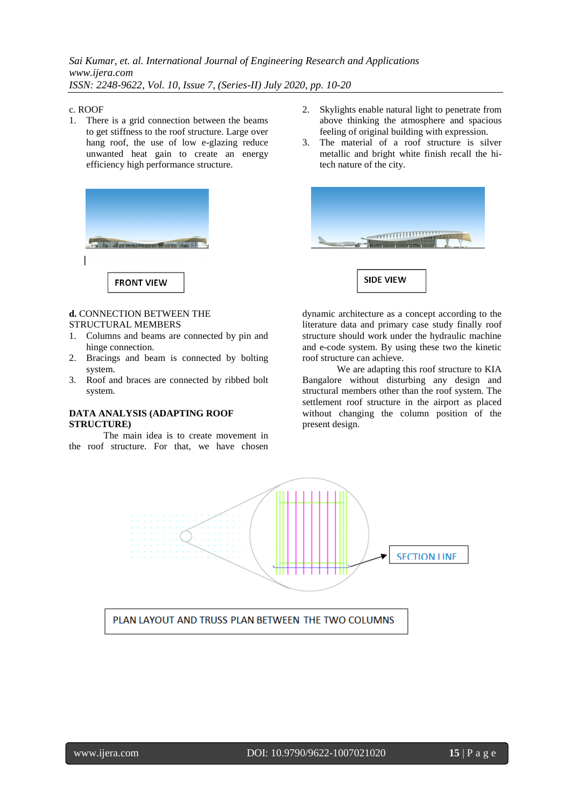#### c. ROOF

1. There is a grid connection between the beams to get stiffness to the roof structure. Large over hang roof, the use of low e-glazing reduce unwanted heat gain to create an energy efficiency high performance structure.



#### **d.** CONNECTION BETWEEN THE STRUCTURAL MEMBERS

- 1. Columns and beams are connected by pin and hinge connection.
- 2. Bracings and beam is connected by bolting system.
- 3. Roof and braces are connected by ribbed bolt system.

#### **DATA ANALYSIS (ADAPTING ROOF STRUCTURE)**

The main idea is to create movement in the roof structure. For that, we have chosen

- 2. Skylights enable natural light to penetrate from above thinking the atmosphere and spacious feeling of original building with expression.
- 3. The material of a roof structure is silver metallic and bright white finish recall the hitech nature of the city.



**SIDE VIEW** 

dynamic architecture as a concept according to the literature data and primary case study finally roof structure should work under the hydraulic machine and e-code system. By using these two the kinetic roof structure can achieve.

We are adapting this roof structure to KIA Bangalore without disturbing any design and structural members other than the roof system. The settlement roof structure in the airport as placed without changing the column position of the present design.

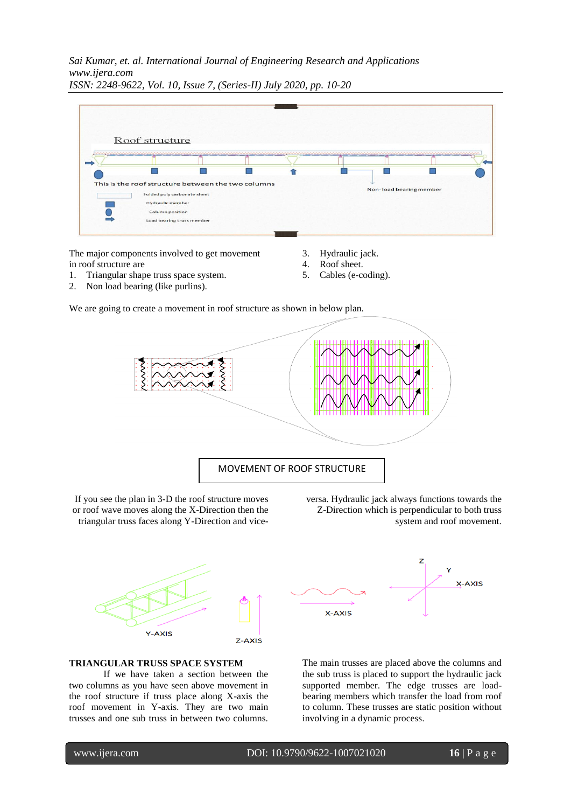|  | Roof structure            |                                                                                   |  |                         |  |  |
|--|---------------------------|-----------------------------------------------------------------------------------|--|-------------------------|--|--|
|  | <u>MMMMMMMMMMMMMMMMMM</u> |                                                                                   |  |                         |  |  |
|  |                           |                                                                                   |  |                         |  |  |
|  |                           |                                                                                   |  |                         |  |  |
|  |                           | This is the roof structure between the two columns<br>Folded poly carbonate sheet |  | Non-load bearing member |  |  |
|  |                           |                                                                                   |  |                         |  |  |
|  | Hydraulic member          |                                                                                   |  |                         |  |  |
|  | <b>Column</b> position    |                                                                                   |  |                         |  |  |
|  | Load bearing truss member |                                                                                   |  |                         |  |  |
|  |                           |                                                                                   |  |                         |  |  |

The major components involved to get movement in roof structure are

- 1. Triangular shape truss space system.
- 2. Non load bearing (like purlins).
- 3. Hydraulic jack.
- 4. Roof sheet.
- 5. Cables (e-coding).

We are going to create a movement in roof structure as shown in below plan.



If you see the plan in 3-D the roof structure moves or roof wave moves along the X-Direction then the triangular truss faces along Y-Direction and viceversa. Hydraulic jack always functions towards the Z-Direction which is perpendicular to both truss system and roof movement.



#### **TRIANGULAR TRUSS SPACE SYSTEM**

If we have taken a section between the two columns as you have seen above movement in the roof structure if truss place along X-axis the roof movement in Y-axis. They are two main trusses and one sub truss in between two columns.



The main trusses are placed above the columns and the sub truss is placed to support the hydraulic jack supported member. The edge trusses are loadbearing members which transfer the load from roof to column. These trusses are static position without involving in a dynamic process.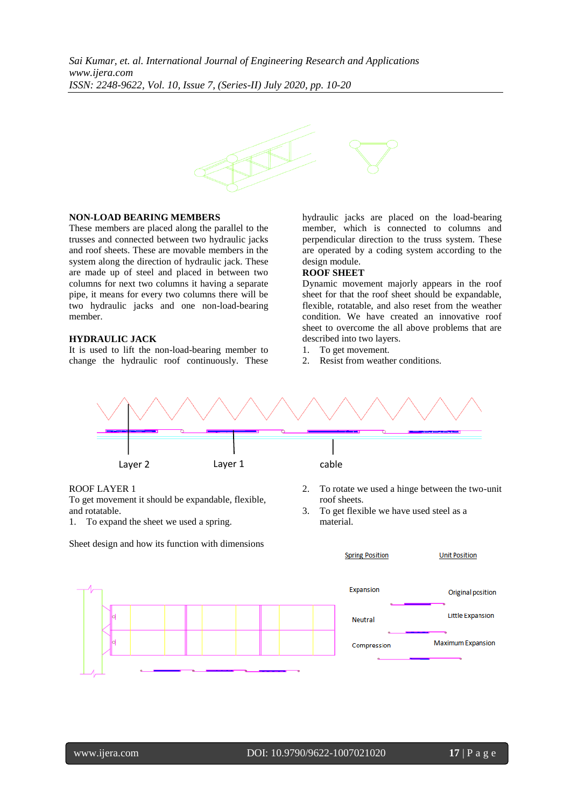

#### **NON-LOAD BEARING MEMBERS**

These members are placed along the parallel to the trusses and connected between two hydraulic jacks and roof sheets. These are movable members in the system along the direction of hydraulic jack. These are made up of steel and placed in between two columns for next two columns it having a separate pipe, it means for every two columns there will be two hydraulic jacks and one non-load-bearing member.

#### **HYDRAULIC JACK**

It is used to lift the non-load-bearing member to change the hydraulic roof continuously. These

hydraulic jacks are placed on the load-bearing member, which is connected to columns and perpendicular direction to the truss system. These are operated by a coding system according to the design module.

# **ROOF SHEET**

Dynamic movement majorly appears in the roof sheet for that the roof sheet should be expandable, flexible, rotatable, and also reset from the weather condition. We have created an innovative roof sheet to overcome the all above problems that are described into two layers.

- 1. To get movement.
- 2. Resist from weather conditions.



ROOF LAYER 1

To get movement it should be expandable, flexible, and rotatable.

1. To expand the sheet we used a spring.

Sheet design and how its function with dimensions



**Spring Position** 

2. To rotate we used a hinge between the two-unit



**Unit Position**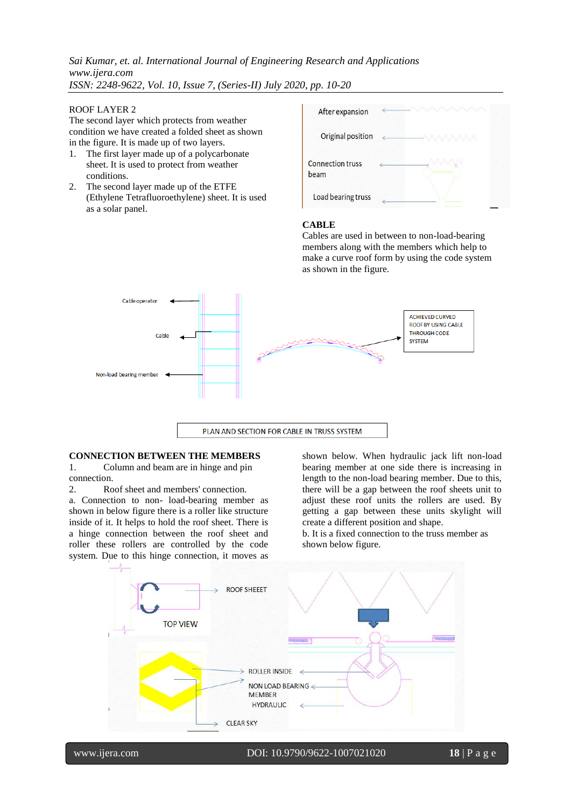#### ROOF LAYER 2

The second layer which protects from weather condition we have created a folded sheet as shown in the figure. It is made up of two layers.

- 1. The first layer made up of a polycarbonate sheet. It is used to protect from weather conditions.
- 2. The second layer made up of the ETFE (Ethylene Tetrafluoroethylene) sheet. It is used as a solar panel.



#### **CABLE**

Cables are used in between to non-load-bearing members along with the members which help to make a curve roof form by using the code system as shown in the figure.





### **CONNECTION BETWEEN THE MEMBERS**

1. Column and beam are in hinge and pin connection.

2. Roof sheet and members' connection.

a. Connection to non- load-bearing member as shown in below figure there is a roller like structure inside of it. It helps to hold the roof sheet. There is a hinge connection between the roof sheet and roller these rollers are controlled by the code system. Due to this hinge connection, it moves as

shown below. When hydraulic jack lift non-load bearing member at one side there is increasing in length to the non-load bearing member. Due to this, there will be a gap between the roof sheets unit to adjust these roof units the rollers are used. By getting a gap between these units skylight will create a different position and shape.

b. It is a fixed connection to the truss member as shown below figure.



www.ijera.com DOI: 10.9790/9622-1007021020 **18** | P a g e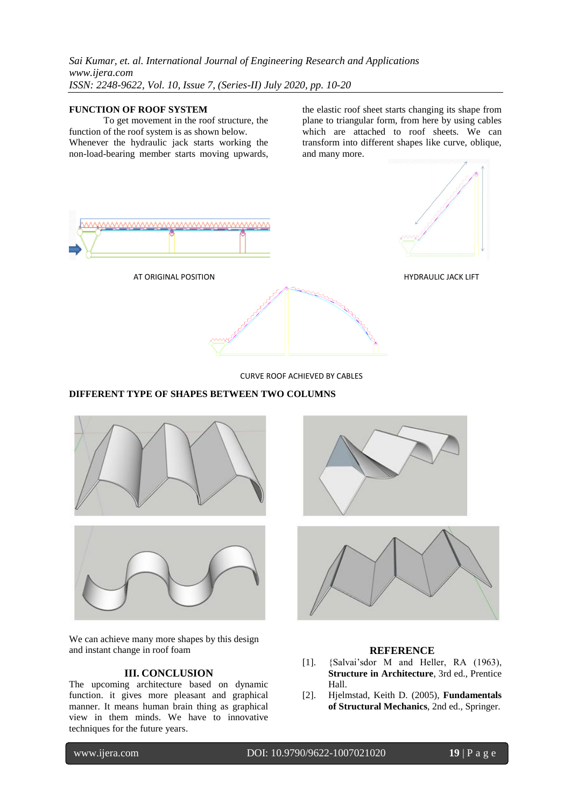# **FUNCTION OF ROOF SYSTEM**

To get movement in the roof structure, the function of the roof system is as shown below. Whenever the hydraulic jack starts working the non-load-bearing member starts moving upwards, the elastic roof sheet starts changing its shape from plane to triangular form, from here by using cables which are attached to roof sheets. We can transform into different shapes like curve, oblique, and many more.



CURVE ROOF ACHIEVED BY CABLES

# **DIFFERENT TYPE OF SHAPES BETWEEN TWO COLUMNS**



We can achieve many more shapes by this design and instant change in roof foam

# **III. CONCLUSION**

The upcoming architecture based on dynamic function. it gives more pleasant and graphical manner. It means human brain thing as graphical view in them minds. We have to innovative techniques for the future years.





#### **REFERENCE**

- [1]. {Salvai'sdor M and Heller, RA (1963), **Structure in Architecture**, 3rd ed., Prentice Hall.
- [2]. Hjelmstad, Keith D. (2005), **Fundamentals of Structural Mechanics**, 2nd ed., Springer.